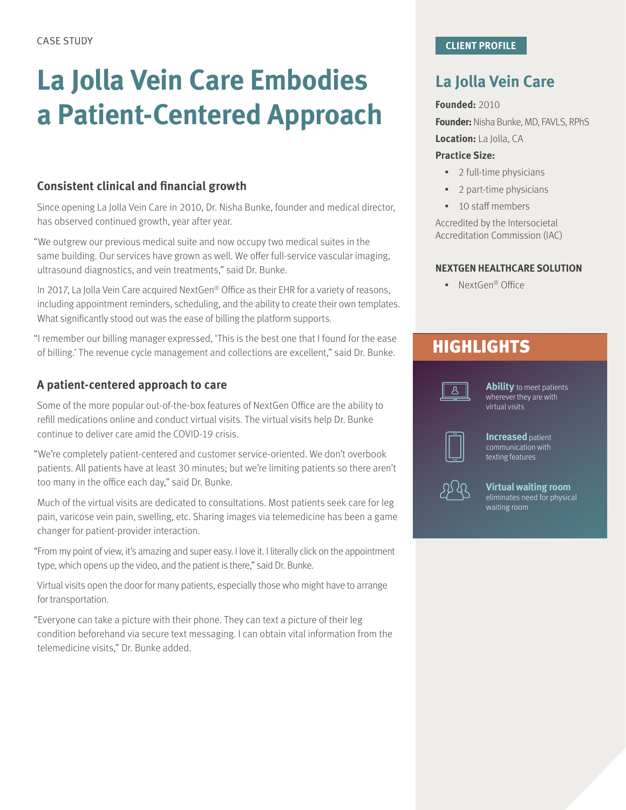# **La Jolla Vein Care Embodies a Patient-Centered Approach**

#### **Consistent clinical and financial growth**

Since opening La Jolla Vein Care in 2010, Dr. Nisha Bunke, founder and medical director, has observed continued growth, year after year.

"We outgrew our previous medical suite and now occupy two medical suites in the same building. Our services have grown as well. We offer full-service vascular imaging, ultrasound diagnostics, and vein treatments," said Dr. Bunke.

In 2017, La Jolla Vein Care acquired NextGen® Office as their EHR for a variety of reasons, including appointment reminders, scheduling, and the ability to create their own templates. What significantly stood out was the ease of billing the platform supports.

"I remember our billing manager expressed, 'This is the best one that I found for the ease of billing.' The revenue cycle management and collections are excellent," said Dr. Bunke.

#### **A patient-centered approach to care**

Some of the more popular out-of-the-box features of NextGen Office are the ability to refill medications online and conduct virtual visits. The virtual visits help Dr. Bunke continue to deliver care amid the COVID-19 crisis.

"We're completely patient-centered and customer service-oriented. We don't overbook patients. All patients have at least 30 minutes; but we're limiting patients so there aren't too many in the office each day," said Dr. Bunke.

Much of the virtual visits are dedicated to consultations. Most patients seek care for leg pain, varicose vein pain, swelling, etc. Sharing images via telemedicine has been a game changer for patient-provider interaction.

"From my point of view, it's amazing and super easy. I love it. I literally click on the appointment type, which opens up the video, and the patient is there," said Dr. Bunke.

Virtual visits open the door for many patients, especially those who might have to arrange for transportation.

"Everyone can take a picture with their phone. They can text a picture of their leg condition beforehand via secure text messaging. I can obtain vital information from the telemedicine visits," Dr. Bunke added.

## **La Jolla Vein Care**

#### **Founded:** 2010

**Founder:** Nisha Bunke, MD, FAVLS, RPhS

**Location:** La Jolla, CA

#### **Practice Size:**

- 2 full-time physicians
- 2 part-time physicians
- 10 staff members

Accredited by the Intersocietal Accreditation Commission (IAC)

#### **NEXTGEN HEALTHCARE SOLUTION**

• NextGen® Office

### **HIGHLIGHTS**



**Ability** to meet patients wherever they are with virtual visits



**Increased** patient communication with texting features



**Virtual waiting room** eliminates need for physical waiting room